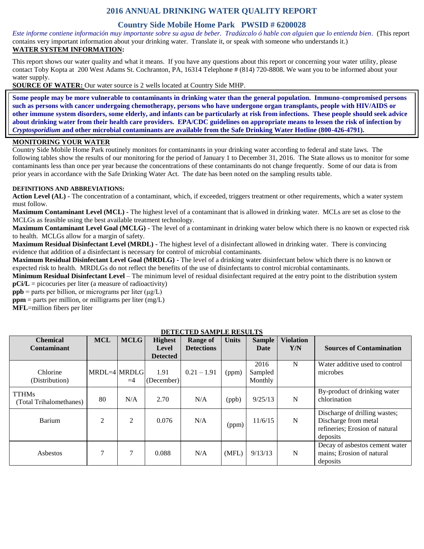# **2016 ANNUAL DRINKING WATER QUALITY REPORT**

### **Country Side Mobile Home Park PWSID # 6200028**

*Este informe contiene información muy importante sobre su agua de beber. Tradúzcalo ó hable con alguien que lo entienda bien.* (This report contains very important information about your drinking water. Translate it, or speak with someone who understands it.) **WATER SYSTEM INFORMATION:**

This report shows our water quality and what it means. If you have any questions about this report or concerning your water utility, please contact Toby Kopta at 200 West Adams St. Cochranton, PA, 16314 Telephone # (814) 720-8808. We want you to be informed about your water supply.

**SOURCE OF WATER:** Our water source is 2 wells located at Country Side MHP.

**Some people may be more vulnerable to contaminants in drinking water than the general population. Immuno-compromised persons such as persons with cancer undergoing chemotherapy, persons who have undergone organ transplants, people with HIV/AIDS or other immune system disorders, some elderly, and infants can be particularly at risk from infections. These people should seek advice about drinking water from their health care providers. EPA/CDC guidelines on appropriate means to lessen the risk of infection by**  *Cryptosporidium* **and other microbial contaminants are available from the Safe Drinking Water Hotline (800-426-4791).**

#### **MONITORING YOUR WATER**

Country Side Mobile Home Park routinely monitors for contaminants in your drinking water according to federal and state laws. The following tables show the results of our monitoring for the period of January 1 to December 31, 2016. The State allows us to monitor for some contaminants less than once per year because the concentrations of these contaminants do not change frequently. Some of our data is from prior years in accordance with the Safe Drinking Water Act. The date has been noted on the sampling results table.

#### **DEFINITIONS AND ABBREVIATIONS:**

**Action Level (AL) -** The concentration of a contaminant, which, if exceeded, triggers treatment or other requirements, which a water system must follow.

**Maximum Contaminant Level (MCL) -** The highest level of a contaminant that is allowed in drinking water. MCLs are set as close to the MCLGs as feasible using the best available treatment technology.

**Maximum Contaminant Level Goal (MCLG) -** The level of a contaminant in drinking water below which there is no known or expected risk to health. MCLGs allow for a margin of safety.

**Maximum Residual Disinfectant Level (MRDL) -** The highest level of a disinfectant allowed in drinking water. There is convincing evidence that addition of a disinfectant is necessary for control of microbial contaminants.

**Maximum Residual Disinfectant Level Goal (MRDLG) -** The level of a drinking water disinfectant below which there is no known or expected risk to health. MRDLGs do not reflect the benefits of the use of disinfectants to control microbial contaminants.

**Minimum Residual Disinfectant Level** – The minimum level of residual disinfectant required at the entry point to the distribution system **pCi/L** = picocuries per liter (a measure of radioactivity)

**ppb** = parts per billion, or micrograms per liter  $(\mu g/L)$ 

 $ppm$  = parts per million, or milligrams per liter (mg/L)

**MFL**=million fibers per liter

|                                         |              |             |                    | DETECTED SAMILLE RESULTS |              |                            |                  |                                                                                                     |
|-----------------------------------------|--------------|-------------|--------------------|--------------------------|--------------|----------------------------|------------------|-----------------------------------------------------------------------------------------------------|
| <b>Chemical</b>                         | <b>MCL</b>   | <b>MCLG</b> | <b>Highest</b>     | <b>Range of</b>          | <b>Units</b> | <b>Sample</b>              | <b>Violation</b> |                                                                                                     |
| <b>Contaminant</b>                      |              |             | Level              | <b>Detections</b>        |              | Date                       | Y/N              | <b>Sources of Contamination</b>                                                                     |
|                                         |              |             | <b>Detected</b>    |                          |              |                            |                  |                                                                                                     |
| Chlorine<br>(Distribution)              | MRDL=4 MRDLG | $=4$        | 1.91<br>(December) | $0.21 - 1.91$            | (ppm)        | 2016<br>Sampled<br>Monthly | N                | Water additive used to control<br>microbes                                                          |
| <b>TTHMs</b><br>(Total Trihalomethanes) | 80           | N/A         | 2.70               | N/A                      | (ppb)        | 9/25/13                    | N                | By-product of drinking water<br>chlorination                                                        |
| Barium                                  | 2            | 2           | 0.076              | N/A                      | (ppm)        | 11/6/15                    | $\mathbf N$      | Discharge of drilling wastes;<br>Discharge from metal<br>refineries; Erosion of natural<br>deposits |
| Asbestos                                |              | 7           | 0.088              | N/A                      | (MFL)        | 9/13/13                    | N                | Decay of asbestos cement water<br>mains; Erosion of natural<br>deposits                             |

### **DETECTED SAMPLE RESULTS**